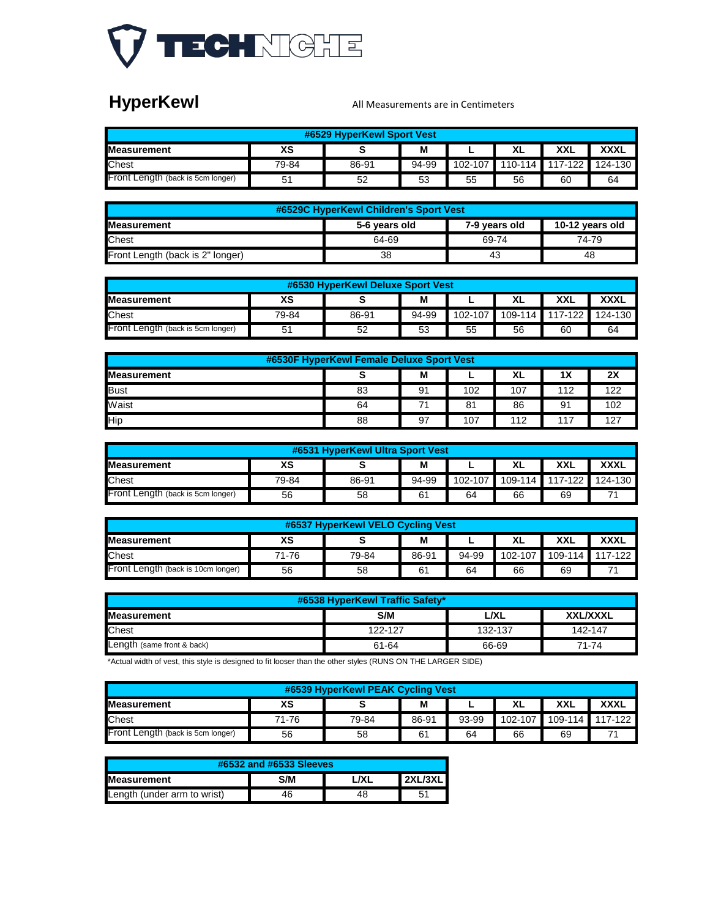

# **HyperKewl**

#### All Measurements are in Centimeters

| #6529 HyperKewl Sport Vest                                |       |       |       |         |    |                 |         |  |  |  |
|-----------------------------------------------------------|-------|-------|-------|---------|----|-----------------|---------|--|--|--|
| XXL<br><b>XXXL</b><br>ХS<br>M<br>ΧL<br><b>Measurement</b> |       |       |       |         |    |                 |         |  |  |  |
| <b>Chest</b>                                              | 79-84 | 86-91 | 94-99 | 102-107 |    | 110-114 117-122 | 124-130 |  |  |  |
| Front Length (back is 5cm longer)                         | 51    | 52    | 53    | 55      | 56 | 60              | 64      |  |  |  |

| #6529C HyperKewl Children's Sport Vest                                   |                 |       |       |  |  |  |  |  |  |
|--------------------------------------------------------------------------|-----------------|-------|-------|--|--|--|--|--|--|
| <b>IMeasurement</b><br>10-12 years old<br>5-6 years old<br>7-9 years old |                 |       |       |  |  |  |  |  |  |
| <b>Chest</b>                                                             | 64-69           | 69-74 | 74-79 |  |  |  |  |  |  |
| Front Length (back is 2" longer)                                         | 38<br>-43<br>48 |       |       |  |  |  |  |  |  |

| #6530 HyperKewl Deluxe Sport Vest                                |       |       |       |           |    |                         |    |  |  |  |
|------------------------------------------------------------------|-------|-------|-------|-----------|----|-------------------------|----|--|--|--|
| ХS<br><b>Measurement</b><br><b>XXXL</b><br><b>XXL</b><br>M<br>ΧL |       |       |       |           |    |                         |    |  |  |  |
| <b>Chest</b>                                                     | 79-84 | 86-91 | 94-99 | $102-107$ |    | 109-114 117-122 124-130 |    |  |  |  |
| Front Length (back is 5cm longer)                                |       | 52    | 53    | 55        | 56 | 60                      | 64 |  |  |  |

| #6530F HyperKewl Female Deluxe Sport Vest             |    |                |     |     |     |     |  |  |  |  |
|-------------------------------------------------------|----|----------------|-----|-----|-----|-----|--|--|--|--|
| 2X<br>M<br>XL<br>1 <sup>X</sup><br><b>Measurement</b> |    |                |     |     |     |     |  |  |  |  |
| <b>Bust</b>                                           | 83 | 91             | 102 | 107 | 112 | 122 |  |  |  |  |
| Waist                                                 | 64 | 7 <sub>1</sub> | 81  | 86  | 91  | 102 |  |  |  |  |
| <b>Hip</b>                                            | 88 | 97             | 107 | 112 | 117 | 127 |  |  |  |  |

| #6531 HyperKewl Ultra Sport Vest                          |       |       |       |         |    |                 |         |  |  |
|-----------------------------------------------------------|-------|-------|-------|---------|----|-----------------|---------|--|--|
| ХS<br><b>XXXL</b><br>XXL<br>M<br><b>Measurement</b><br>XL |       |       |       |         |    |                 |         |  |  |
| <b>Chest</b>                                              | 79-84 | 86-91 | 94-99 | 102-107 |    | 109-114 117-122 | 124-130 |  |  |
| <b>Front Length (back is 5cm longer)</b>                  | 56    | 58    | 61    | 64      | 66 | 69              |         |  |  |

| #6537 HyperKewl VELO Cycling Vest                              |       |       |       |       |             |    |                 |  |  |  |
|----------------------------------------------------------------|-------|-------|-------|-------|-------------|----|-----------------|--|--|--|
| ХS<br><b>XXXL</b><br>M<br>XXL<br>XL<br><b>Measurement</b><br>- |       |       |       |       |             |    |                 |  |  |  |
| <b>Chest</b>                                                   | 71-76 | 79-84 | 86-91 | 94-99 | $102 - 107$ |    | 109-114 117-122 |  |  |  |
| Front Length (back is 10cm longer)                             | 56    | 58    | 61    | 64    | 66          | 69 |                 |  |  |  |

| #6538 HyperKewl Traffic Safety*                      |         |         |         |  |  |  |  |  |  |
|------------------------------------------------------|---------|---------|---------|--|--|--|--|--|--|
| S/M<br><b>XXL/XXXL</b><br><b>Measurement</b><br>L/XL |         |         |         |  |  |  |  |  |  |
| <b>Chest</b>                                         | 122-127 | 132-137 | 142-147 |  |  |  |  |  |  |
| Length (same front & back)                           | 61-64   | 66-69   | 71-74   |  |  |  |  |  |  |

\*Actual width of vest, this style is designed to fit looser than the other styles (RUNS ON THE LARGER SIDE)

| #6539 HyperKewl PEAK Cycling Vest                                |       |       |                |       |             |    |                 |  |  |
|------------------------------------------------------------------|-------|-------|----------------|-------|-------------|----|-----------------|--|--|
| <b>XXXL</b><br>ХS<br><b>XXL</b><br><b>Measurement</b><br>M<br>ΧL |       |       |                |       |             |    |                 |  |  |
| <b>Chest</b>                                                     | 71-76 | 79-84 | 86-91          | 93-99 | $102 - 107$ |    | 109-114 117-122 |  |  |
| Front Length (back is 5cm longer)                                | 56    | 58    | 6 <sup>1</sup> | 64    | 66          | 69 |                 |  |  |

| #6532 and #6533 Sleeves                              |  |  |  |  |  |  |  |  |  |
|------------------------------------------------------|--|--|--|--|--|--|--|--|--|
| <b>2XL/3XL</b><br>7X I<br>S/M<br><b>IMeasurement</b> |  |  |  |  |  |  |  |  |  |
| Length (under arm to wrist)<br>46<br>51<br>48        |  |  |  |  |  |  |  |  |  |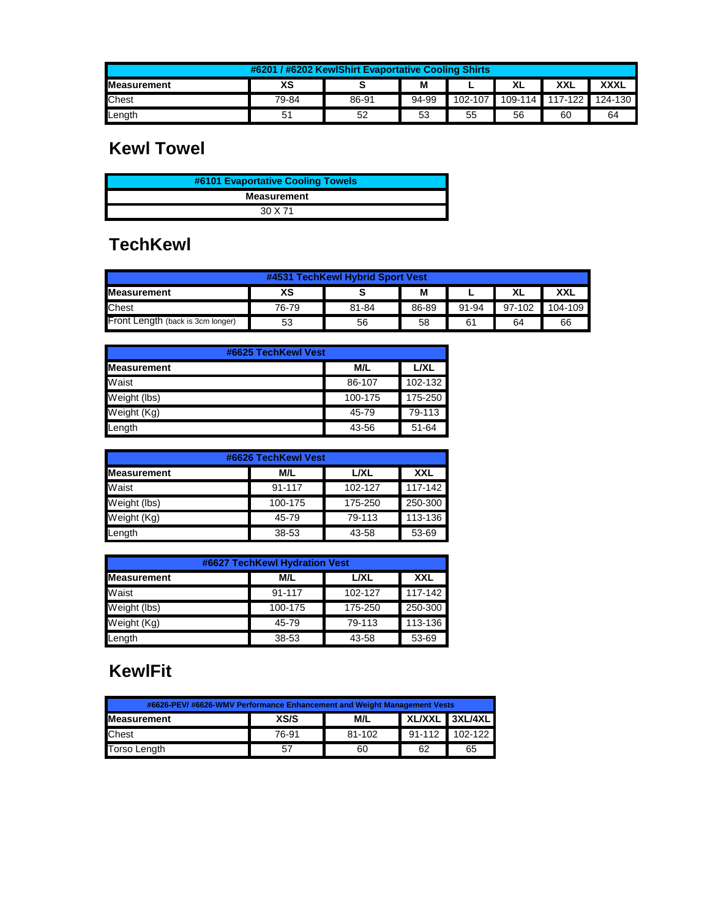| #6201 / #6202 KewlShirt Evaportative Cooling Shirts       |                |       |       |         |             |         |         |  |  |  |
|-----------------------------------------------------------|----------------|-------|-------|---------|-------------|---------|---------|--|--|--|
| ХS<br><b>XXXL</b><br>XXL<br><b>Measurement</b><br>M<br>XL |                |       |       |         |             |         |         |  |  |  |
| <b>Chest</b>                                              | 79-84          | 86-91 | 94-99 | 102-107 | $109 - 114$ | 117-122 | 124-130 |  |  |  |
| Length                                                    | 5 <sub>1</sub> | 52    | 53    | 55      | 56          | 60      | 64      |  |  |  |

#### **Kewl Towel**

| #6101 Evaportative Cooling Towels |  |
|-----------------------------------|--|
| <b>Measurement</b>                |  |
| 30 X 71                           |  |

### **TechKewl**

| #4531 TechKewl Hybrid Sport Vest           |       |       |       |       |        |         |  |  |  |
|--------------------------------------------|-------|-------|-------|-------|--------|---------|--|--|--|
| ХS<br>XXL<br><b>Measurement</b><br>XL<br>М |       |       |       |       |        |         |  |  |  |
| <b>Chest</b>                               | 76-79 | 81-84 | 86-89 | 91-94 | 97-102 | 104-109 |  |  |  |
| Front Length (back is 3cm longer)          | 53    | 56    | 58    | 61    | 64     | 66      |  |  |  |

| #6625 TechKewl Vest |         |         |  |  |  |  |  |
|---------------------|---------|---------|--|--|--|--|--|
| <b>Measurement</b>  | M/L     | L/XL    |  |  |  |  |  |
| Waist               | 86-107  | 102-132 |  |  |  |  |  |
| Weight (lbs)        | 100-175 | 175-250 |  |  |  |  |  |
| Weight (Kg)         | 45-79   | 79-113  |  |  |  |  |  |
| Length              | 43-56   | 51-64   |  |  |  |  |  |

| #6626 TechKewl Vest |         |             |            |  |  |  |  |  |
|---------------------|---------|-------------|------------|--|--|--|--|--|
| <b>Measurement</b>  | M/L     | <b>L/XL</b> | <b>XXL</b> |  |  |  |  |  |
| Waist               | 91-117  | 102-127     | 117-142    |  |  |  |  |  |
| Weight (lbs)        | 100-175 | 175-250     | 250-300    |  |  |  |  |  |
| Weight (Kg)         | 45-79   | 79-113      | 113-136    |  |  |  |  |  |
| Length              | 38-53   | 43-58       | 53-69      |  |  |  |  |  |

| #6627 TechKewl Hydration Vest |         |             |            |  |  |  |  |
|-------------------------------|---------|-------------|------------|--|--|--|--|
| <b>Measurement</b>            | M/L     | <b>L/XL</b> | <b>XXL</b> |  |  |  |  |
| Waist                         | 91-117  | 102-127     | 117-142    |  |  |  |  |
| Weight (lbs)                  | 100-175 | 175-250     | 250-300    |  |  |  |  |
| Weight (Kg)                   | 45-79   | 79-113      | 113-136    |  |  |  |  |
| Length                        | 38-53   | 43-58       | 53-69      |  |  |  |  |

# **KewlFit**

| #6626-PEV/#6626-WMV Performance Enhancement and Weight Management Vests |       |        |            |             |  |  |  |
|-------------------------------------------------------------------------|-------|--------|------------|-------------|--|--|--|
| XL/XXL 3XL/4XL<br>XS/S<br><b>Measurement</b><br>M/L                     |       |        |            |             |  |  |  |
| <b>Chest</b>                                                            | 76-91 | 81-102 | $91 - 112$ | $102 - 122$ |  |  |  |
| Torso Length                                                            | -57   | 60     | 62         | 65          |  |  |  |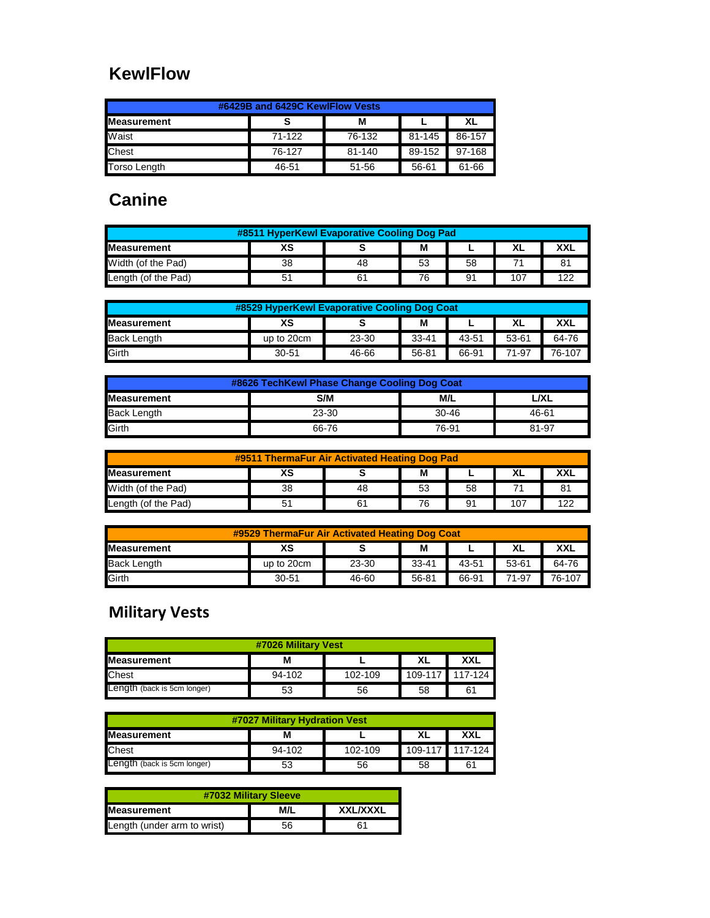## **KewlFlow**

| #6429B and 6429C KewlFlow Vests |        |        |        |        |  |  |  |  |  |
|---------------------------------|--------|--------|--------|--------|--|--|--|--|--|
| <b>Measurement</b><br>Μ<br>XL   |        |        |        |        |  |  |  |  |  |
| Waist                           | 71-122 | 76-132 | 81-145 | 86-157 |  |  |  |  |  |
| <b>Chest</b>                    | 76-127 | 81-140 | 89-152 | 97-168 |  |  |  |  |  |
| Torso Length                    | 46-51  | 51-56  | 56-61  | 61-66  |  |  |  |  |  |

# **Canine**

| #8511 HyperKewl Evaporative Cooling Dog Pad |    |    |    |    |     |     |
|---------------------------------------------|----|----|----|----|-----|-----|
| ХS<br><b>Measurement</b><br>XXI<br>ΧL<br>М  |    |    |    |    |     |     |
| Width (of the Pad)                          | 38 | 48 | 53 | 58 |     |     |
| Length (of the Pad)                         |    |    | 76 | 91 | 107 | イウク |

| #8529 HyperKewl Evaporative Cooling Dog Coat       |            |       |           |       |       |        |
|----------------------------------------------------|------------|-------|-----------|-------|-------|--------|
| ХS<br><b>XXL</b><br>Μ<br>XL<br><b>IMeasurement</b> |            |       |           |       |       |        |
| <b>Back Length</b>                                 | up to 20cm | 23-30 | $33 - 41$ | 43-51 | 53-61 | 64-76  |
| Girth                                              | $30 - 51$  | 46-66 | 56-81     | 66-91 | 71-97 | 76-107 |

| #8626 TechKewl Phase Change Cooling Dog Coat |       |           |       |  |  |  |  |
|----------------------------------------------|-------|-----------|-------|--|--|--|--|
| <b>Measurement</b><br>S/M<br>M/L<br>∟/XL     |       |           |       |  |  |  |  |
| <b>Back Length</b>                           | 23-30 | $30 - 46$ | 46-61 |  |  |  |  |
| Girth                                        | 66-76 | 76-91     | 81-97 |  |  |  |  |

| #9511 ThermaFur Air Activated Heating Dog Pad      |    |    |    |    |     |     |
|----------------------------------------------------|----|----|----|----|-----|-----|
| ХS<br><b>XXL</b><br>XL<br>M<br><b>IMeasurement</b> |    |    |    |    |     |     |
| Width (of the Pad)                                 | 38 | 48 | 53 | 58 |     |     |
| Length (of the Pad)                                |    |    | 76 | 91 | 107 | 1つつ |

| #9529 ThermaFur Air Activated Heating Dog Coat    |            |       |           |       |       |        |
|---------------------------------------------------|------------|-------|-----------|-------|-------|--------|
| ХS<br><b>Measurement</b><br><b>XXL</b><br>XL<br>M |            |       |           |       |       |        |
| <b>Back Length</b>                                | up to 20cm | 23-30 | $33 - 41$ | 43-51 | 53-61 | 64-76  |
| Girth                                             | $30 - 51$  | 46-60 | 56-81     | 66-91 | 71-97 | 76-107 |

### **Military Vests**

| #7026 Military Vest                  |        |         |    |                 |  |  |  |
|--------------------------------------|--------|---------|----|-----------------|--|--|--|
| <b>Measurement</b><br>XXL<br>XL<br>М |        |         |    |                 |  |  |  |
| <b>Chest</b>                         | 94-102 | 102-109 |    | 109-117 117-124 |  |  |  |
| Length (back is 5cm longer)          | 53     | 56      | 58 | 61              |  |  |  |

| #7027 Military Hydration Vest                       |        |         |  |                 |  |  |  |
|-----------------------------------------------------|--------|---------|--|-----------------|--|--|--|
| <b>Measurement</b><br>XL<br>XXL                     |        |         |  |                 |  |  |  |
| <b>Chest</b>                                        | 94-102 | 102-109 |  | 109-117 117-124 |  |  |  |
| Length (back is 5cm longer)<br>56<br>58<br>53<br>61 |        |         |  |                 |  |  |  |

| #7032 Military Sleeve                        |    |    |  |  |  |  |  |
|----------------------------------------------|----|----|--|--|--|--|--|
| <b>XXL/XXXL</b><br>M/L<br><b>Measurement</b> |    |    |  |  |  |  |  |
| Length (under arm to wrist)                  | 56 | 61 |  |  |  |  |  |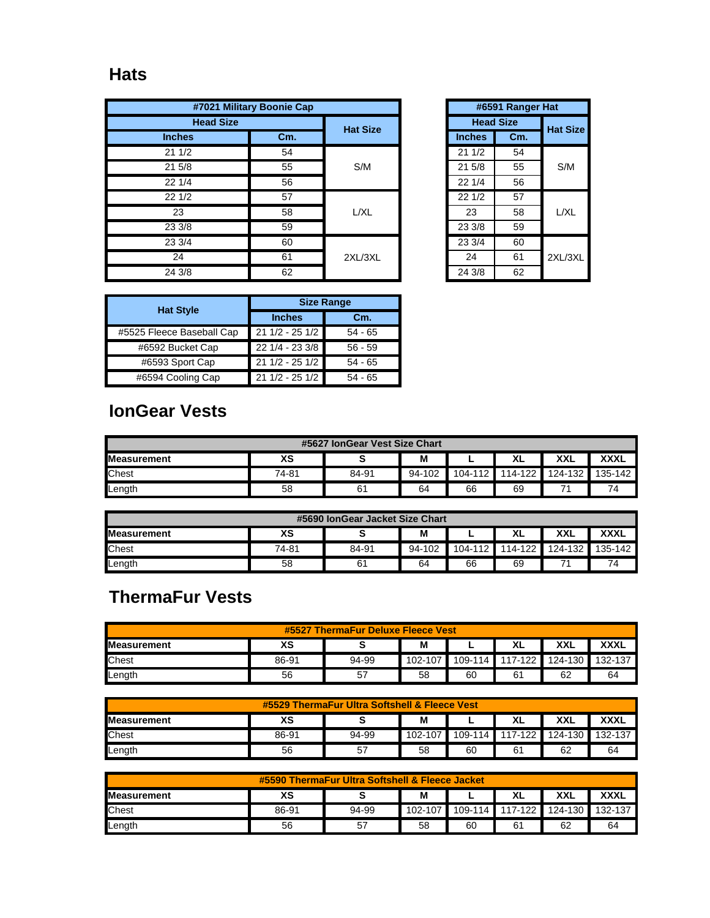#### **Hats**

|                  | #7021 Military Boonie Cap |         |  |                  | #6591 Rang |
|------------------|---------------------------|---------|--|------------------|------------|
| <b>Head Size</b> | <b>Hat Size</b>           |         |  | <b>Head Size</b> |            |
| <b>Inches</b>    | Cm.                       |         |  | <b>Inches</b>    | Cm.        |
| 211/2            | 54                        |         |  | 211/2            | 54         |
| 21 5/8           | 55                        | S/M     |  | 21 5/8           | 55         |
| 221/4            | 56                        |         |  | 22 1/4           | 56         |
| 221/2            | 57                        |         |  | 221/2            | 57         |
| 23               | 58                        | L/XL    |  | 23               | 58         |
| 23 3/8           | 59                        |         |  | 23 3/8           | 59         |
| 23 3/4           | 60                        |         |  | 23 3/4           | 60         |
| 24               | 61                        | 2XL/3XL |  | 24               | 61         |
| 24 3/8           | 62                        |         |  | 24 3/8           | 62         |

| #6591 Ranger Hat |                  |                 |  |  |
|------------------|------------------|-----------------|--|--|
|                  | <b>Head Size</b> | <b>Hat Size</b> |  |  |
| <b>Inches</b>    | Cm.              |                 |  |  |
| 211/2            | 54               |                 |  |  |
| 215/8            | 55               | S/M             |  |  |
| 221/4            | 56               |                 |  |  |
| 221/2            | 57               |                 |  |  |
| 23               | 58               | L/XL            |  |  |
| 23 3/8           | 59               |                 |  |  |
| 23 3/4           | 60               |                 |  |  |
| 24               | 61               | 2XL/3XL         |  |  |
| 24 3/8           | 62               |                 |  |  |

|                           | <b>Size Range</b> |           |  |  |  |
|---------------------------|-------------------|-----------|--|--|--|
| <b>Hat Style</b>          | <b>Inches</b>     | Cm.       |  |  |  |
| #5525 Fleece Baseball Cap | 21 1/2 - 25 1/2   | $54 - 65$ |  |  |  |
| #6592 Bucket Cap          | 22 1/4 - 23 3/8   | $56 - 59$ |  |  |  |
| #6593 Sport Cap           | 21 1/2 - 25 1/2   | $54 - 65$ |  |  |  |
| #6594 Cooling Cap         | $211/2 - 251/2$   | $54 - 65$ |  |  |  |

## **IonGear Vests**

| #5627 IonGear Vest Size Chart |       |       |        |    |                 |            |             |
|-------------------------------|-------|-------|--------|----|-----------------|------------|-------------|
| <b>Measurement</b>            | XS    |       | M      | -  | XL              | <b>XXL</b> | <b>XXXL</b> |
| <b>Chest</b>                  | 74-81 | 84-91 | 94-102 |    | 104-112 114-122 | 124-132    | 135-142     |
| Length                        | 58    | 61    | 64     | 66 | 69              |            | 74          |

| #5690 IonGear Jacket Size Chart                    |       |       |        |    |                         |  |         |
|----------------------------------------------------|-------|-------|--------|----|-------------------------|--|---------|
| <b>XXXL</b><br>ΧS<br>XXL<br>M<br>XL<br>Measurement |       |       |        |    |                         |  |         |
| Chest                                              | 74-81 | 84-91 | 94-102 |    | 104-112 114-122 124-132 |  | 135-142 |
| Length                                             | 58    | 61    | 64     | 66 | 69                      |  |         |

# **ThermaFur Vests**

| <b>ThermaFur Deluxe Fleece Vest</b><br>#5527                          |       |       |         |         |           |         |         |
|-----------------------------------------------------------------------|-------|-------|---------|---------|-----------|---------|---------|
| XS<br><b>XXXL</b><br><b>XXL</b><br><b>Measurement</b><br>M<br>ΧL<br>- |       |       |         |         |           |         |         |
| <b>Chest</b>                                                          | 86-91 | 94-99 | 102-107 | 109-114 | $117-122$ | 124-130 | 132-137 |
| Length                                                                | 56    | 57    | 58      | 60      | 61        | 62      | 64      |

| #5529 ThermaFur Ultra Softshell & Fleece Vest |       |       |         |    |                 |            |             |
|-----------------------------------------------|-------|-------|---------|----|-----------------|------------|-------------|
| <b>Measurement</b>                            | ХS    |       | M       |    | XL              | <b>XXL</b> | <b>XXXL</b> |
| <b>Chest</b>                                  | 86-91 | 94-99 | 102-107 |    | 109-114 117-122 | 124-130    | 132-137     |
| Length                                        | 56    | 57    | 58      | 60 | 61              | 62         | 64          |

| #5590 ThermaFur Ultra Softshell & Fleece Jacket           |       |       |         |    |                                 |    |    |
|-----------------------------------------------------------|-------|-------|---------|----|---------------------------------|----|----|
| ХS<br><b>XXXL</b><br>XXL<br>M<br><b>Measurement</b><br>XL |       |       |         |    |                                 |    |    |
| <b>Chest</b>                                              | 86-91 | 94-99 | 102-107 |    | 109-114 117-122 124-130 132-137 |    |    |
| Length                                                    | 56    | 57    | 58      | 60 | 61                              | 62 | 64 |